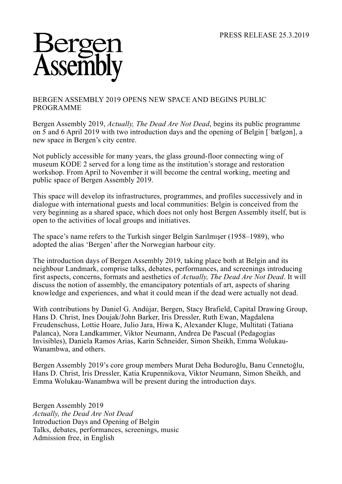## Assem

## BERGEN ASSEMBLY 2019 OPENS NEW SPACE AND BEGINS PUBLIC PROGRAMME

Bergen Assembly 2019, *Actually, The Dead Are Not Dead*, begins its public programme on 5 and 6 April 2019 with two introduction days and the opening of Belgin [ˈbælgən], a new space in Bergen's city centre.

Not publicly accessible for many years, the glass ground-floor connecting wing of museum KODE 2 served for a long time as the institution's storage and restoration workshop. From April to November it will become the central working, meeting and public space of Bergen Assembly 2019.

This space will develop its infrastructures, programmes, and profiles successively and in dialogue with international guests and local communities: Belgin is conceived from the very beginning as a shared space, which does not only host Bergen Assembly itself, but is open to the activities of local groups and initiatives.

The space's name refers to the Turkish singer Belgin Sarılmışer (1958–1989), who adopted the alias 'Bergen' after the Norwegian harbour city.

The introduction days of Bergen Assembly 2019, taking place both at Belgin and its neighbour Landmark, comprise talks, debates, performances, and screenings introducing first aspects, concerns, formats and aesthetics of *Actually, The Dead Are Not Dead*. It will discuss the notion of assembly, the emancipatory potentials of art, aspects of sharing knowledge and experiences, and what it could mean if the dead were actually not dead.

With contributions by Daniel G. Andújar, Bergen, Stacy Brafield, Capital Drawing Group, Hans D. Christ, Ines Doujak/John Barker, Iris Dressler, Ruth Ewan, Magdalena Freudenschuss, Lottie Hoare, Julio Jara, Hiwa K, Alexander Kluge, Multitati (Tatiana Palanca), Nora Landkammer, Viktor Neumann, Andrea De Pascual (Pedagogías Invisibles), Daniela Ramos Arias, Karin Schneider, Simon Sheikh, Emma Wolukau-Wanambwa, and others.

Bergen Assembly 2019's core group members Murat Deha Boduroğlu, Banu Cennetoğlu, Hans D. Christ, Iris Dressler, Katia Krupennikova, Viktor Neumann, Simon Sheikh, and Emma Wolukau-Wanambwa will be present during the introduction days.

Bergen Assembly 2019 *Actually, the Dead Are Not Dead* Introduction Days and Opening of Belgin Talks, debates, performances, screenings, music Admission free, in English